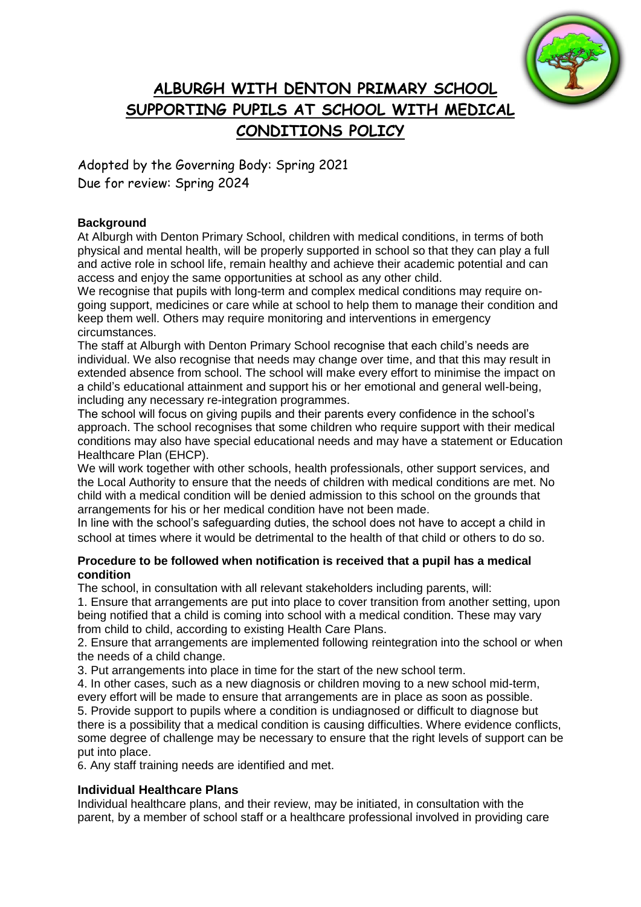

# **ALBURGH WITH DENTON PRIMARY SCHOOL SUPPORTING PUPILS AT SCHOOL WITH MEDICAL CONDITIONS POLICY**

Adopted by the Governing Body: Spring 2021 Due for review: Spring 2024

# **Background**

At Alburgh with Denton Primary School, children with medical conditions, in terms of both physical and mental health, will be properly supported in school so that they can play a full and active role in school life, remain healthy and achieve their academic potential and can access and enjoy the same opportunities at school as any other child.

We recognise that pupils with long-term and complex medical conditions may require ongoing support, medicines or care while at school to help them to manage their condition and keep them well. Others may require monitoring and interventions in emergency circumstances.

The staff at Alburgh with Denton Primary School recognise that each child's needs are individual. We also recognise that needs may change over time, and that this may result in extended absence from school. The school will make every effort to minimise the impact on a child's educational attainment and support his or her emotional and general well-being, including any necessary re-integration programmes.

The school will focus on giving pupils and their parents every confidence in the school's approach. The school recognises that some children who require support with their medical conditions may also have special educational needs and may have a statement or Education Healthcare Plan (EHCP).

We will work together with other schools, health professionals, other support services, and the Local Authority to ensure that the needs of children with medical conditions are met. No child with a medical condition will be denied admission to this school on the grounds that arrangements for his or her medical condition have not been made.

In line with the school's safeguarding duties, the school does not have to accept a child in school at times where it would be detrimental to the health of that child or others to do so.

# **Procedure to be followed when notification is received that a pupil has a medical condition**

The school, in consultation with all relevant stakeholders including parents, will:

1. Ensure that arrangements are put into place to cover transition from another setting, upon being notified that a child is coming into school with a medical condition. These may vary from child to child, according to existing Health Care Plans.

2. Ensure that arrangements are implemented following reintegration into the school or when the needs of a child change.

3. Put arrangements into place in time for the start of the new school term.

4. In other cases, such as a new diagnosis or children moving to a new school mid-term, every effort will be made to ensure that arrangements are in place as soon as possible. 5. Provide support to pupils where a condition is undiagnosed or difficult to diagnose but there is a possibility that a medical condition is causing difficulties. Where evidence conflicts,

some degree of challenge may be necessary to ensure that the right levels of support can be put into place.

6. Any staff training needs are identified and met.

# **Individual Healthcare Plans**

Individual healthcare plans, and their review, may be initiated, in consultation with the parent, by a member of school staff or a healthcare professional involved in providing care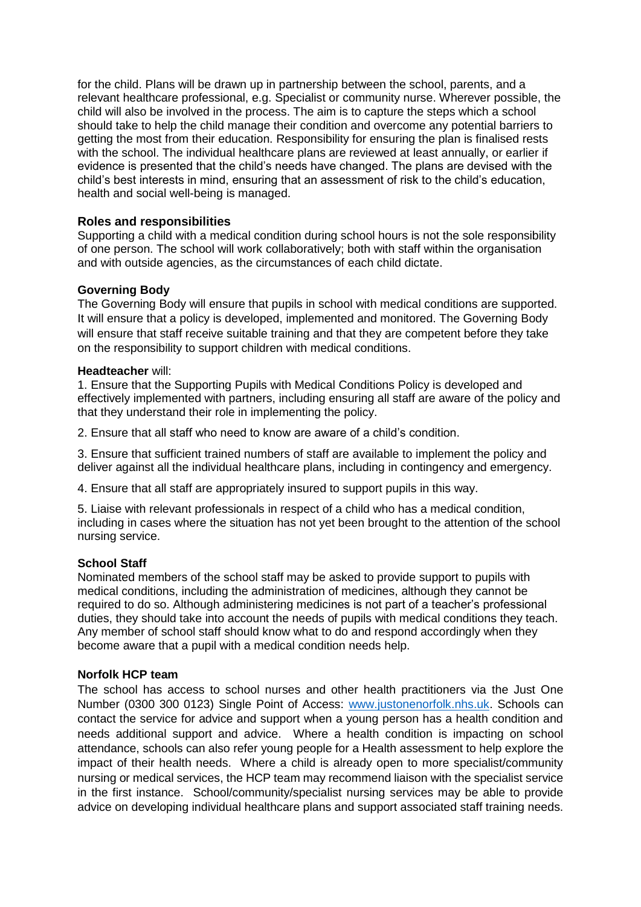for the child. Plans will be drawn up in partnership between the school, parents, and a relevant healthcare professional, e.g. Specialist or community nurse. Wherever possible, the child will also be involved in the process. The aim is to capture the steps which a school should take to help the child manage their condition and overcome any potential barriers to getting the most from their education. Responsibility for ensuring the plan is finalised rests with the school. The individual healthcare plans are reviewed at least annually, or earlier if evidence is presented that the child's needs have changed. The plans are devised with the child's best interests in mind, ensuring that an assessment of risk to the child's education, health and social well-being is managed.

# **Roles and responsibilities**

Supporting a child with a medical condition during school hours is not the sole responsibility of one person. The school will work collaboratively; both with staff within the organisation and with outside agencies, as the circumstances of each child dictate.

# **Governing Body**

The Governing Body will ensure that pupils in school with medical conditions are supported. It will ensure that a policy is developed, implemented and monitored. The Governing Body will ensure that staff receive suitable training and that they are competent before they take on the responsibility to support children with medical conditions.

# **Headteacher** will:

1. Ensure that the Supporting Pupils with Medical Conditions Policy is developed and effectively implemented with partners, including ensuring all staff are aware of the policy and that they understand their role in implementing the policy.

2. Ensure that all staff who need to know are aware of a child's condition.

3. Ensure that sufficient trained numbers of staff are available to implement the policy and deliver against all the individual healthcare plans, including in contingency and emergency.

4. Ensure that all staff are appropriately insured to support pupils in this way.

5. Liaise with relevant professionals in respect of a child who has a medical condition, including in cases where the situation has not yet been brought to the attention of the school nursing service.

# **School Staff**

Nominated members of the school staff may be asked to provide support to pupils with medical conditions, including the administration of medicines, although they cannot be required to do so. Although administering medicines is not part of a teacher's professional duties, they should take into account the needs of pupils with medical conditions they teach. Any member of school staff should know what to do and respond accordingly when they become aware that a pupil with a medical condition needs help.

# **Norfolk HCP team**

The school has access to school nurses and other health practitioners via the Just One Number (0300 300 0123) Single Point of Access: [www.justonenorfolk.nhs.uk.](http://www.justonenorfolk.nhs.uk/) Schools can contact the service for advice and support when a young person has a health condition and needs additional support and advice. Where a health condition is impacting on school attendance, schools can also refer young people for a Health assessment to help explore the impact of their health needs. Where a child is already open to more specialist/community nursing or medical services, the HCP team may recommend liaison with the specialist service in the first instance. School/community/specialist nursing services may be able to provide advice on developing individual healthcare plans and support associated staff training needs.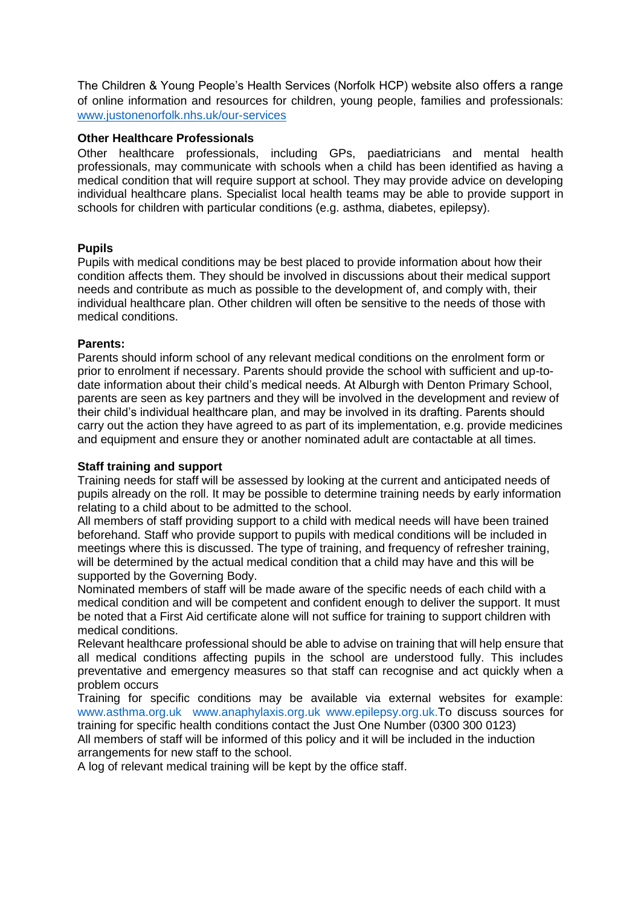The Children & Young People's Health Services (Norfolk HCP) website also offers a range of online information and resources for children, young people, families and professionals: [www.justonenorfolk.nhs.uk/our-services](http://www.justonenorfolk.nhs.uk/our-services)

#### **Other Healthcare Professionals**

Other healthcare professionals, including GPs, paediatricians and mental health professionals, may communicate with schools when a child has been identified as having a medical condition that will require support at school. They may provide advice on developing individual healthcare plans. Specialist local health teams may be able to provide support in schools for children with particular conditions (e.g. asthma, diabetes, epilepsy).

#### **Pupils**

Pupils with medical conditions may be best placed to provide information about how their condition affects them. They should be involved in discussions about their medical support needs and contribute as much as possible to the development of, and comply with, their individual healthcare plan. Other children will often be sensitive to the needs of those with medical conditions.

#### **Parents:**

Parents should inform school of any relevant medical conditions on the enrolment form or prior to enrolment if necessary. Parents should provide the school with sufficient and up-todate information about their child's medical needs. At Alburgh with Denton Primary School, parents are seen as key partners and they will be involved in the development and review of their child's individual healthcare plan, and may be involved in its drafting. Parents should carry out the action they have agreed to as part of its implementation, e.g. provide medicines and equipment and ensure they or another nominated adult are contactable at all times.

# **Staff training and support**

Training needs for staff will be assessed by looking at the current and anticipated needs of pupils already on the roll. It may be possible to determine training needs by early information relating to a child about to be admitted to the school.

All members of staff providing support to a child with medical needs will have been trained beforehand. Staff who provide support to pupils with medical conditions will be included in meetings where this is discussed. The type of training, and frequency of refresher training, will be determined by the actual medical condition that a child may have and this will be supported by the Governing Body.

Nominated members of staff will be made aware of the specific needs of each child with a medical condition and will be competent and confident enough to deliver the support. It must be noted that a First Aid certificate alone will not suffice for training to support children with medical conditions.

Relevant healthcare professional should be able to advise on training that will help ensure that all medical conditions affecting pupils in the school are understood fully. This includes preventative and emergency measures so that staff can recognise and act quickly when a problem occurs

Training for specific conditions may be available via external websites for example: [www.asthma.org.uk](http://www.asthma.org.uk/) [www.anaphylaxis.org.uk](http://www.anaphylaxis.org.uk/) [www.epilepsy.org.uk.](http://www.epilepsy.org.uk/)To discuss sources for training for specific health conditions contact the Just One Number (0300 300 0123)

All members of staff will be informed of this policy and it will be included in the induction arrangements for new staff to the school.

A log of relevant medical training will be kept by the office staff.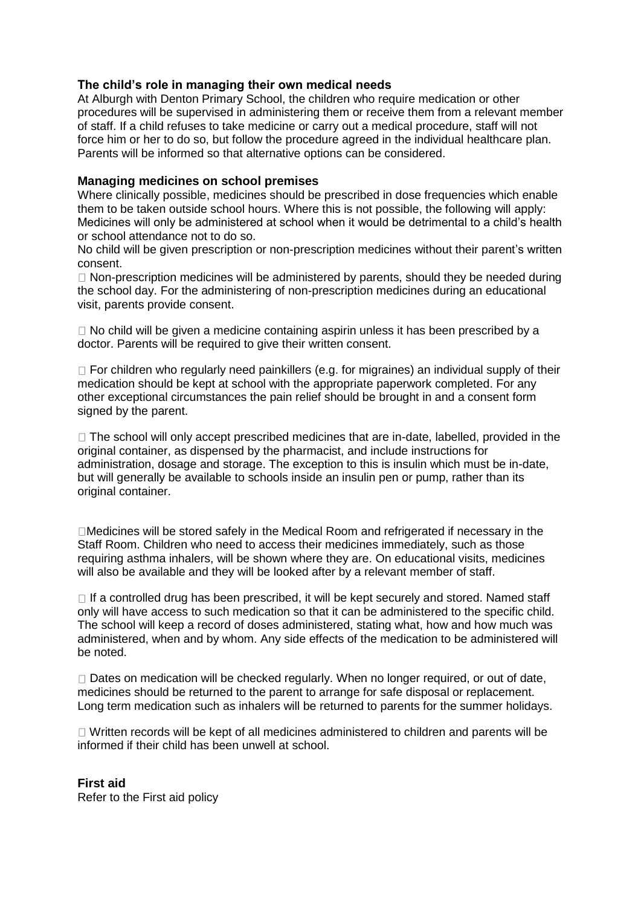# **The child's role in managing their own medical needs**

At Alburgh with Denton Primary School, the children who require medication or other procedures will be supervised in administering them or receive them from a relevant member of staff. If a child refuses to take medicine or carry out a medical procedure, staff will not force him or her to do so, but follow the procedure agreed in the individual healthcare plan. Parents will be informed so that alternative options can be considered.

# **Managing medicines on school premises**

Where clinically possible, medicines should be prescribed in dose frequencies which enable them to be taken outside school hours. Where this is not possible, the following will apply: Medicines will only be administered at school when it would be detrimental to a child's health or school attendance not to do so.

No child will be given prescription or non-prescription medicines without their parent's written consent.

 $\Box$  Non-prescription medicines will be administered by parents, should they be needed during the school day. For the administering of non-prescription medicines during an educational visit, parents provide consent.

 $\Box$  No child will be given a medicine containing aspirin unless it has been prescribed by a doctor. Parents will be required to give their written consent.

 $\Box$  For children who regularly need painkillers (e.g. for migraines) an individual supply of their medication should be kept at school with the appropriate paperwork completed. For any other exceptional circumstances the pain relief should be brought in and a consent form signed by the parent.

 $\Box$  The school will only accept prescribed medicines that are in-date, labelled, provided in the original container, as dispensed by the pharmacist, and include instructions for administration, dosage and storage. The exception to this is insulin which must be in-date, but will generally be available to schools inside an insulin pen or pump, rather than its original container.

Medicines will be stored safely in the Medical Room and refrigerated if necessary in the Staff Room. Children who need to access their medicines immediately, such as those requiring asthma inhalers, will be shown where they are. On educational visits, medicines will also be available and they will be looked after by a relevant member of staff.

 $\Box$  If a controlled drug has been prescribed, it will be kept securely and stored. Named staff only will have access to such medication so that it can be administered to the specific child. The school will keep a record of doses administered, stating what, how and how much was administered, when and by whom. Any side effects of the medication to be administered will be noted.

 $\Box$  Dates on medication will be checked regularly. When no longer required, or out of date, medicines should be returned to the parent to arrange for safe disposal or replacement. Long term medication such as inhalers will be returned to parents for the summer holidays.

Written records will be kept of all medicines administered to children and parents will be informed if their child has been unwell at school.

# **First aid**

Refer to the First aid policy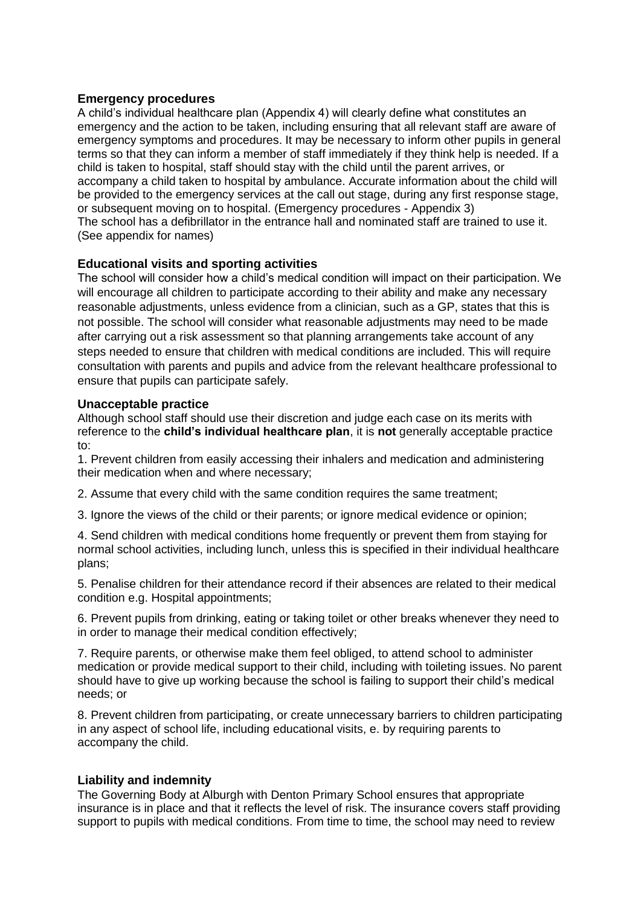#### **Emergency procedures**

A child's individual healthcare plan (Appendix 4) will clearly define what constitutes an emergency and the action to be taken, including ensuring that all relevant staff are aware of emergency symptoms and procedures. It may be necessary to inform other pupils in general terms so that they can inform a member of staff immediately if they think help is needed. If a child is taken to hospital, staff should stay with the child until the parent arrives, or accompany a child taken to hospital by ambulance. Accurate information about the child will be provided to the emergency services at the call out stage, during any first response stage, or subsequent moving on to hospital. (Emergency procedures - Appendix 3) The school has a defibrillator in the entrance hall and nominated staff are trained to use it. (See appendix for names)

# **Educational visits and sporting activities**

The school will consider how a child's medical condition will impact on their participation. We will encourage all children to participate according to their ability and make any necessary reasonable adjustments, unless evidence from a clinician, such as a GP, states that this is not possible. The school will consider what reasonable adjustments may need to be made after carrying out a risk assessment so that planning arrangements take account of any steps needed to ensure that children with medical conditions are included. This will require consultation with parents and pupils and advice from the relevant healthcare professional to ensure that pupils can participate safely.

#### **Unacceptable practice**

Although school staff should use their discretion and judge each case on its merits with reference to the **child's individual healthcare plan**, it is **not** generally acceptable practice to:

1. Prevent children from easily accessing their inhalers and medication and administering their medication when and where necessary;

2. Assume that every child with the same condition requires the same treatment;

3. Ignore the views of the child or their parents; or ignore medical evidence or opinion;

4. Send children with medical conditions home frequently or prevent them from staying for normal school activities, including lunch, unless this is specified in their individual healthcare plans;

5. Penalise children for their attendance record if their absences are related to their medical condition e.g. Hospital appointments;

6. Prevent pupils from drinking, eating or taking toilet or other breaks whenever they need to in order to manage their medical condition effectively;

7. Require parents, or otherwise make them feel obliged, to attend school to administer medication or provide medical support to their child, including with toileting issues. No parent should have to give up working because the school is failing to support their child's medical needs; or

8. Prevent children from participating, or create unnecessary barriers to children participating in any aspect of school life, including educational visits, e. by requiring parents to accompany the child.

# **Liability and indemnity**

The Governing Body at Alburgh with Denton Primary School ensures that appropriate insurance is in place and that it reflects the level of risk. The insurance covers staff providing support to pupils with medical conditions. From time to time, the school may need to review